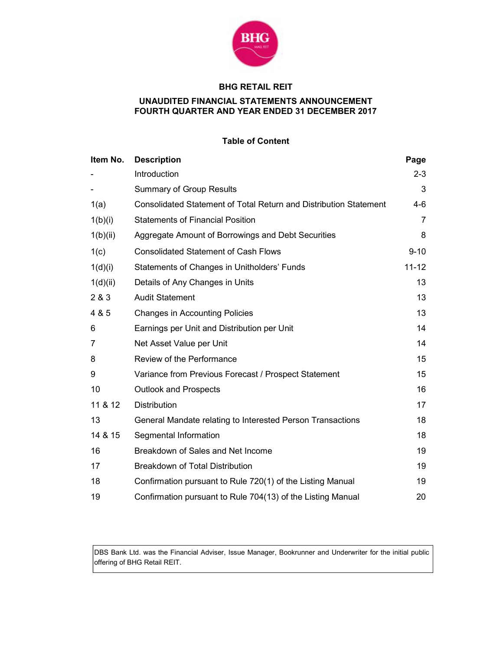

# BHG RETAIL REIT

# UNAUDITED FINANCIAL STATEMENTS ANNOUNCEMENT FOURTH QUARTER AND YEAR ENDED 31 DECEMBER 2017

# Table of Content

| Item No. | <b>Description</b>                                                | Page      |
|----------|-------------------------------------------------------------------|-----------|
|          | Introduction                                                      | $2 - 3$   |
|          | <b>Summary of Group Results</b>                                   | 3         |
| 1(a)     | Consolidated Statement of Total Return and Distribution Statement | 4-6       |
| 1(b)(i)  | <b>Statements of Financial Position</b>                           | 7         |
| 1(b)(ii) | Aggregate Amount of Borrowings and Debt Securities                | 8         |
| 1(c)     | <b>Consolidated Statement of Cash Flows</b>                       | $9 - 10$  |
| 1(d)(i)  | Statements of Changes in Unitholders' Funds                       | $11 - 12$ |
| 1(d)(ii) | Details of Any Changes in Units                                   | 13        |
| 2 & 3    | <b>Audit Statement</b>                                            | 13        |
| 4 & 5    | <b>Changes in Accounting Policies</b>                             | 13        |
| 6        | Earnings per Unit and Distribution per Unit                       | 14        |
| 7        | Net Asset Value per Unit                                          | 14        |
| 8        | Review of the Performance                                         | 15        |
| 9        | Variance from Previous Forecast / Prospect Statement              | 15        |
| 10       | <b>Outlook and Prospects</b>                                      | 16        |
| 11 & 12  | <b>Distribution</b>                                               | 17        |
| 13       | General Mandate relating to Interested Person Transactions        | 18        |
| 14 & 15  | Segmental Information                                             | 18        |
| 16       | Breakdown of Sales and Net Income                                 | 19        |
| 17       | <b>Breakdown of Total Distribution</b>                            | 19        |
| 18       | Confirmation pursuant to Rule 720(1) of the Listing Manual        | 19        |
| 19       | Confirmation pursuant to Rule 704(13) of the Listing Manual       | 20        |

DBS Bank Ltd. was the Financial Adviser, Issue Manager, Bookrunner and Underwriter for the initial public offering of BHG Retail REIT.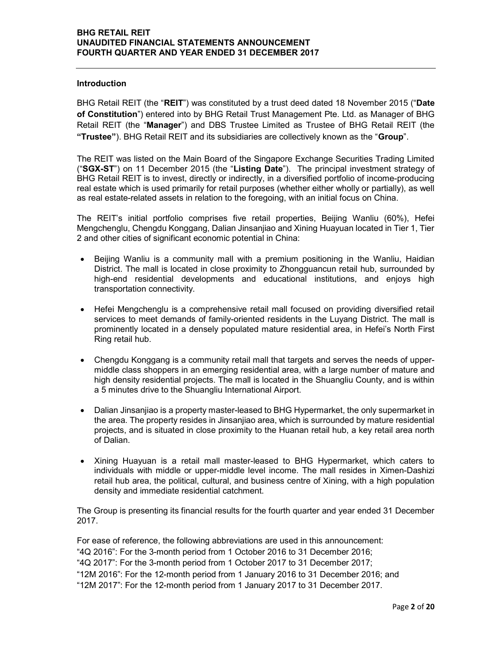### Introduction

BHG Retail REIT (the "REIT") was constituted by a trust deed dated 18 November 2015 ("Date of Constitution") entered into by BHG Retail Trust Management Pte. Ltd. as Manager of BHG Retail REIT (the "Manager") and DBS Trustee Limited as Trustee of BHG Retail REIT (the "Trustee"). BHG Retail REIT and its subsidiaries are collectively known as the "Group".

The REIT was listed on the Main Board of the Singapore Exchange Securities Trading Limited ("SGX-ST") on 11 December 2015 (the "Listing Date"). The principal investment strategy of BHG Retail REIT is to invest, directly or indirectly, in a diversified portfolio of income-producing real estate which is used primarily for retail purposes (whether either wholly or partially), as well as real estate-related assets in relation to the foregoing, with an initial focus on China.

The REIT's initial portfolio comprises five retail properties, Beijing Wanliu (60%), Hefei Mengchenglu, Chengdu Konggang, Dalian Jinsanjiao and Xining Huayuan located in Tier 1, Tier 2 and other cities of significant economic potential in China:

- Beijing Wanliu is a community mall with a premium positioning in the Wanliu, Haidian District. The mall is located in close proximity to Zhongguancun retail hub, surrounded by high-end residential developments and educational institutions, and enjoys high transportation connectivity.
- Hefei Mengchenglu is a comprehensive retail mall focused on providing diversified retail services to meet demands of family-oriented residents in the Luyang District. The mall is prominently located in a densely populated mature residential area, in Hefei's North First Ring retail hub.
- Chengdu Konggang is a community retail mall that targets and serves the needs of uppermiddle class shoppers in an emerging residential area, with a large number of mature and high density residential projects. The mall is located in the Shuangliu County, and is within a 5 minutes drive to the Shuangliu International Airport.
- Dalian Jinsanjiao is a property master-leased to BHG Hypermarket, the only supermarket in the area. The property resides in Jinsanjiao area, which is surrounded by mature residential projects, and is situated in close proximity to the Huanan retail hub, a key retail area north of Dalian.
- Xining Huayuan is a retail mall master-leased to BHG Hypermarket, which caters to individuals with middle or upper-middle level income. The mall resides in Ximen-Dashizi retail hub area, the political, cultural, and business centre of Xining, with a high population density and immediate residential catchment.

The Group is presenting its financial results for the fourth quarter and year ended 31 December 2017.

For ease of reference, the following abbreviations are used in this announcement: "4Q 2016": For the 3-month period from 1 October 2016 to 31 December 2016; "4Q 2017": For the 3-month period from 1 October 2017 to 31 December 2017; "12M 2016": For the 12-month period from 1 January 2016 to 31 December 2016; and "12M 2017": For the 12-month period from 1 January 2017 to 31 December 2017.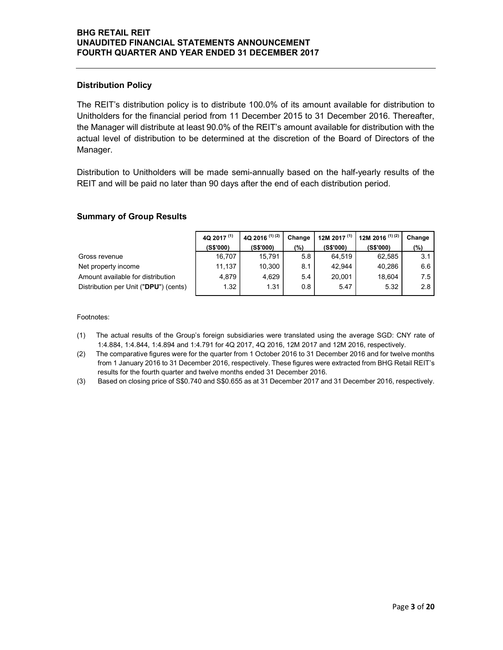### Distribution Policy

### Summary of Group Results

| <b>Distribution Policy</b>                                                                                                                                                                                                                                                                                                                                                                                               |                        |                           |            |                  |                            |            |
|--------------------------------------------------------------------------------------------------------------------------------------------------------------------------------------------------------------------------------------------------------------------------------------------------------------------------------------------------------------------------------------------------------------------------|------------------------|---------------------------|------------|------------------|----------------------------|------------|
| The REIT's distribution policy is to distribute 100.0% of its amount available for distribution to<br>Unitholders for the financial period from 11 December 2015 to 31 December 2016. Thereafter,<br>the Manager will distribute at least 90.0% of the REIT's amount available for distribution with the<br>actual level of distribution to be determined at the discretion of the Board of Directors of the<br>Manager. |                        |                           |            |                  |                            |            |
|                                                                                                                                                                                                                                                                                                                                                                                                                          |                        |                           |            |                  |                            |            |
|                                                                                                                                                                                                                                                                                                                                                                                                                          |                        |                           |            |                  |                            |            |
|                                                                                                                                                                                                                                                                                                                                                                                                                          |                        |                           |            |                  |                            |            |
| Distribution to Unitholders will be made semi-annually based on the half-yearly results of the<br>REIT and will be paid no later than 90 days after the end of each distribution period.<br><b>Summary of Group Results</b>                                                                                                                                                                                              | 4Q 2017 <sup>(1)</sup> | 4Q 2016 <sup>(1)(2)</sup> | Change     | 12M 2017 $(1)$   | 12M 2016 <sup>(1)(2)</sup> | Change     |
| Gross revenue                                                                                                                                                                                                                                                                                                                                                                                                            | (S\$'000)              | (S\$'000)                 | (%)        | (S\$'000)        | (S\$'000)                  | (%)        |
|                                                                                                                                                                                                                                                                                                                                                                                                                          | 16,707                 | 15,791                    | 5.8        | 64,519           | 62,585                     | 3.1        |
| Net property income<br>Amount available for distribution                                                                                                                                                                                                                                                                                                                                                                 | 11,137<br>4,879        | 10,300<br>4,629           | 8.1<br>5.4 | 42,944<br>20,001 | 40,286<br>18,604           | 6.6<br>7.5 |

- (1) The actual results of the Group's foreign subsidiaries were translated using the average SGD: CNY rate of 1:4.884, 1:4.844, 1:4.894 and 1:4.791 for 4Q 2017, 4Q 2016, 12M 2017 and 12M 2016, respectively.
- (2) The comparative figures were for the quarter from 1 October 2016 to 31 December 2016 and for twelve months from 1 January 2016 to 31 December 2016, respectively. These figures were extracted from BHG Retail REIT's results for the fourth quarter and twelve months ended 31 December 2016.
- (3) Based on closing price of S\$0.740 and S\$0.655 as at 31 December 2017 and 31 December 2016, respectively.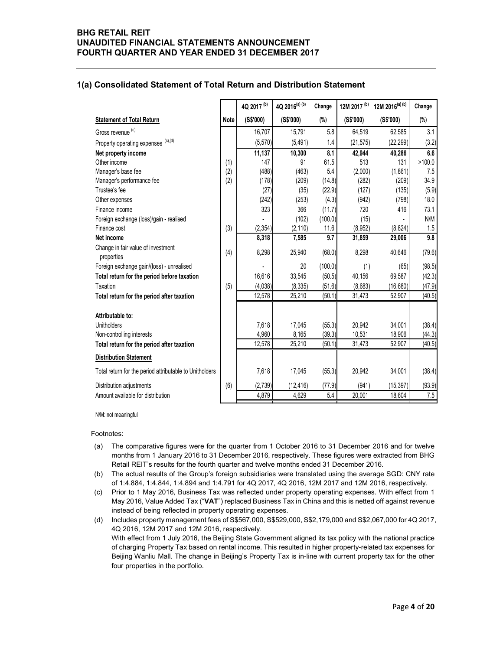### 1(a) Consolidated Statement of Total Return and Distribution Statement

| G RETAIL REIT<br><b>AUDITED FINANCIAL STATEMENTS ANNOUNCEMENT</b><br>JRTH QUARTER AND YEAR ENDED 31 DECEMBER 2017 |      |                |                            |                 |                         |                 |             |
|-------------------------------------------------------------------------------------------------------------------|------|----------------|----------------------------|-----------------|-------------------------|-----------------|-------------|
|                                                                                                                   |      |                |                            |                 |                         |                 |             |
|                                                                                                                   |      |                |                            |                 |                         |                 |             |
|                                                                                                                   |      |                |                            |                 |                         |                 |             |
|                                                                                                                   |      |                |                            |                 |                         |                 |             |
|                                                                                                                   |      |                |                            |                 |                         |                 |             |
|                                                                                                                   |      |                |                            |                 |                         |                 |             |
|                                                                                                                   |      |                |                            |                 |                         |                 |             |
|                                                                                                                   |      |                |                            |                 |                         |                 |             |
|                                                                                                                   |      |                |                            |                 |                         |                 |             |
| <b>Consolidated Statement of Total Return and Distribution Statement</b>                                          |      |                |                            |                 |                         |                 |             |
|                                                                                                                   |      |                |                            |                 |                         |                 |             |
|                                                                                                                   |      | 4Q 2017 (b)    | 4Q 2016 <sup>(a) (b)</sup> | Change          | 12M 2017 <sup>(b)</sup> | 12M 2016(a) (b) | Change      |
| <b>Statement of Total Return</b>                                                                                  | Note | (S\$'000)      | (S\$'000)                  | (%)             | (S\$'000)               | (S\$'000)       | $(\%)$      |
| Gross revenue <sup>(c)</sup>                                                                                      |      | 16,707         | 15,791                     | 5.8             | 64,519                  | 62,585          | 3.1         |
| Property operating expenses (c),(d)                                                                               |      | (5,570)        | (5, 491)                   | 1.4             | (21, 575)               | (22, 299)       | (3.2)       |
| Net property income                                                                                               |      | 11,137         | 10,300                     | 8.1             | 42,944                  | 40,286          | 6.6         |
| Other income                                                                                                      | (1)  | 147            | 91                         | 61.5            | 513                     | 131             | >100.0      |
| Manager's base fee                                                                                                | (2)  | (488)          | (463)                      | 5.4             | (2,000)                 | (1,861)         | 7.5         |
| Manager's performance fee                                                                                         | (2)  | (178)          | (209)                      | (14.8)          | (282)                   | (209)           | 34.9        |
| Trustee's fee                                                                                                     |      | (27)           | (35)                       | (22.9)          | (127)                   | (135)           | (5.9)       |
| Other expenses                                                                                                    |      | (242)          | (253)                      | (4.3)           | (942)                   | (798)           | 18.0        |
| Finance income                                                                                                    |      | 323            | 366                        | (11.7)          | 720                     | 416             | 73.1<br>N/M |
| Foreign exchange (loss)/gain - realised<br>Finance cost                                                           | (3)  | (2, 354)       | (102)<br>(2, 110)          | (100.0)<br>11.6 | (15)<br>(8,952)         | (8, 824)        | 1.5         |
| Net income                                                                                                        |      | 8,318          | 7,585                      | 9.7             | 31,859                  | 29,006          | 9.8         |
| Change in fair value of investment                                                                                |      |                |                            |                 |                         |                 |             |
| properties                                                                                                        | (4)  | 8,298          | 25,940                     | (68.0)          | 8,298                   | 40,646          | (79.6)      |
| Foreign exchange gain/(loss) - unrealised                                                                         |      | $\blacksquare$ | 20                         | (100.0)         | (1)                     | (65)            | (98.5)      |
| Total return for the period before taxation                                                                       |      | 16,616         | 33,545                     | (50.5)          | 40,156                  | 69,587          | (42.3)      |
| Taxation                                                                                                          | (5)  | (4,038)        | (8, 335)                   | (51.6)          | (8,683)                 | (16,680)        | (47.9)      |
| Total return for the period after taxation                                                                        |      | 12,578         | 25,210                     | (50.1)          | 31,473                  | 52,907          | (40.5)      |
| Attributable to:                                                                                                  |      |                |                            |                 |                         |                 |             |
| Unitholders                                                                                                       |      | 7,618          | 17,045                     | (55.3)          | 20,942                  | 34,001          | (38.4)      |
| Non-controlling interests                                                                                         |      | 4,960          | 8,165                      | (39.3)          | 10,531                  | 18,906          | (44.3)      |
| Total return for the period after taxation                                                                        |      | 12,578         | 25,210                     | (50.1)          | 31,473                  | 52,907          | (40.5)      |
| <b>Distribution Statement</b>                                                                                     |      |                |                            |                 |                         |                 |             |
| Total return for the period attributable to Unitholders                                                           |      | 7,618          | 17,045                     | (55.3)          | 20,942                  | 34,001          | (38.4)      |
|                                                                                                                   |      |                |                            |                 |                         |                 |             |
|                                                                                                                   | (6)  | (2,739)        | (12, 416)                  | (77.9)          | (941)                   | (15, 397)       | (93.9)      |
| Distribution adjustments<br>Amount available for distribution                                                     |      | 4,879          | 4,629                      | 5.4             | 20,001                  | 18,604          | 7.5         |

- (a) The comparative figures were for the quarter from 1 October 2016 to 31 December 2016 and for twelve months from 1 January 2016 to 31 December 2016, respectively. These figures were extracted from BHG Retail REIT's results for the fourth quarter and twelve months ended 31 December 2016.
- (b) The actual results of the Group's foreign subsidiaries were translated using the average SGD: CNY rate of 1:4.884, 1:4.844, 1:4.894 and 1:4.791 for 4Q 2017, 4Q 2016, 12M 2017 and 12M 2016, respectively.
- (c) Prior to 1 May 2016, Business Tax was reflected under property operating expenses. With effect from 1 May 2016, Value Added Tax ("VAT") replaced Business Tax in China and this is netted off against revenue instead of being reflected in property operating expenses.
- (d) Includes property management fees of S\$567,000, S\$529,000, S\$2,179,000 and S\$2,067,000 for 4Q 2017, 4Q 2016, 12M 2017 and 12M 2016, respectively. With effect from 1 July 2016, the Beijing State Government aligned its tax policy with the national practice of charging Property Tax based on rental income. This resulted in higher property-related tax expenses for Beijing Wanliu Mall. The change in Beijing's Property Tax is in-line with current property tax for the other four properties in the portfolio.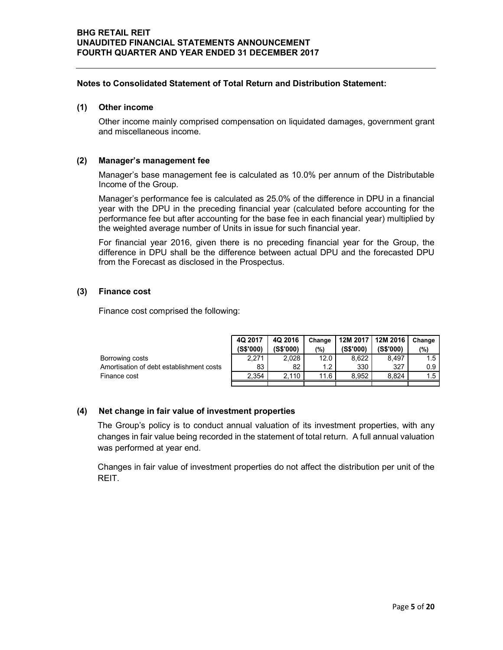### Notes to Consolidated Statement of Total Return and Distribution Statement:

#### (1) Other income

Other income mainly comprised compensation on liquidated damages, government grant and miscellaneous income.

### (2) Manager's management fee

### (3) Finance cost

| Manager's management fee<br>Manager's base management fee is calculated as 10.0% per annum of the Distributable<br>Income of the Group.<br>Manager's performance fee is calculated as 25.0% of the difference in DPU in a financial<br>year with the DPU in the preceding financial year (calculated before accounting for the<br>performance fee but after accounting for the base fee in each financial year) multiplied by<br>the weighted average number of Units in issue for such financial year.<br>For financial year 2016, given there is no preceding financial year for the Group, the<br>difference in DPU shall be the difference between actual DPU and the forecasted DPU<br>from the Forecast as disclosed in the Prospectus.<br><b>Finance cost</b><br>Finance cost comprised the following:<br>4Q 2016<br>12M 2017<br>12M 2016<br>4Q 2017<br>Change<br>Change<br>(S\$'000)<br>(S\$'000)<br>(S\$'000)<br>(S\$'000)<br>$(\%)$<br>(%)<br>1.5<br>Borrowing costs<br>12.0<br>2,271<br>2,028<br>8,622<br>8,497<br>Amortisation of debt establishment costs<br>1.2<br>83<br>82<br>330<br>327<br>0.9<br>2,354<br>2,110<br>11.6<br>8,952<br>8,824<br>1.5<br>Finance cost<br>Net change in fair value of investment properties<br>The Group's policy is to conduct annual valuation of its investment properties, with any | and miscellaneous income. |  |  |  |  |
|------------------------------------------------------------------------------------------------------------------------------------------------------------------------------------------------------------------------------------------------------------------------------------------------------------------------------------------------------------------------------------------------------------------------------------------------------------------------------------------------------------------------------------------------------------------------------------------------------------------------------------------------------------------------------------------------------------------------------------------------------------------------------------------------------------------------------------------------------------------------------------------------------------------------------------------------------------------------------------------------------------------------------------------------------------------------------------------------------------------------------------------------------------------------------------------------------------------------------------------------------------------------------------------------------------------------------------|---------------------------|--|--|--|--|
|                                                                                                                                                                                                                                                                                                                                                                                                                                                                                                                                                                                                                                                                                                                                                                                                                                                                                                                                                                                                                                                                                                                                                                                                                                                                                                                                    |                           |  |  |  |  |
|                                                                                                                                                                                                                                                                                                                                                                                                                                                                                                                                                                                                                                                                                                                                                                                                                                                                                                                                                                                                                                                                                                                                                                                                                                                                                                                                    |                           |  |  |  |  |
|                                                                                                                                                                                                                                                                                                                                                                                                                                                                                                                                                                                                                                                                                                                                                                                                                                                                                                                                                                                                                                                                                                                                                                                                                                                                                                                                    |                           |  |  |  |  |
|                                                                                                                                                                                                                                                                                                                                                                                                                                                                                                                                                                                                                                                                                                                                                                                                                                                                                                                                                                                                                                                                                                                                                                                                                                                                                                                                    |                           |  |  |  |  |
|                                                                                                                                                                                                                                                                                                                                                                                                                                                                                                                                                                                                                                                                                                                                                                                                                                                                                                                                                                                                                                                                                                                                                                                                                                                                                                                                    |                           |  |  |  |  |
|                                                                                                                                                                                                                                                                                                                                                                                                                                                                                                                                                                                                                                                                                                                                                                                                                                                                                                                                                                                                                                                                                                                                                                                                                                                                                                                                    |                           |  |  |  |  |
|                                                                                                                                                                                                                                                                                                                                                                                                                                                                                                                                                                                                                                                                                                                                                                                                                                                                                                                                                                                                                                                                                                                                                                                                                                                                                                                                    |                           |  |  |  |  |
|                                                                                                                                                                                                                                                                                                                                                                                                                                                                                                                                                                                                                                                                                                                                                                                                                                                                                                                                                                                                                                                                                                                                                                                                                                                                                                                                    |                           |  |  |  |  |
|                                                                                                                                                                                                                                                                                                                                                                                                                                                                                                                                                                                                                                                                                                                                                                                                                                                                                                                                                                                                                                                                                                                                                                                                                                                                                                                                    |                           |  |  |  |  |
|                                                                                                                                                                                                                                                                                                                                                                                                                                                                                                                                                                                                                                                                                                                                                                                                                                                                                                                                                                                                                                                                                                                                                                                                                                                                                                                                    |                           |  |  |  |  |
|                                                                                                                                                                                                                                                                                                                                                                                                                                                                                                                                                                                                                                                                                                                                                                                                                                                                                                                                                                                                                                                                                                                                                                                                                                                                                                                                    |                           |  |  |  |  |
|                                                                                                                                                                                                                                                                                                                                                                                                                                                                                                                                                                                                                                                                                                                                                                                                                                                                                                                                                                                                                                                                                                                                                                                                                                                                                                                                    |                           |  |  |  |  |
|                                                                                                                                                                                                                                                                                                                                                                                                                                                                                                                                                                                                                                                                                                                                                                                                                                                                                                                                                                                                                                                                                                                                                                                                                                                                                                                                    |                           |  |  |  |  |

### (4) Net change in fair value of investment properties

The Group's policy is to conduct annual valuation of its investment properties, with any changes in fair value being recorded in the statement of total return. A full annual valuation was performed at year end.

Changes in fair value of investment properties do not affect the distribution per unit of the REIT.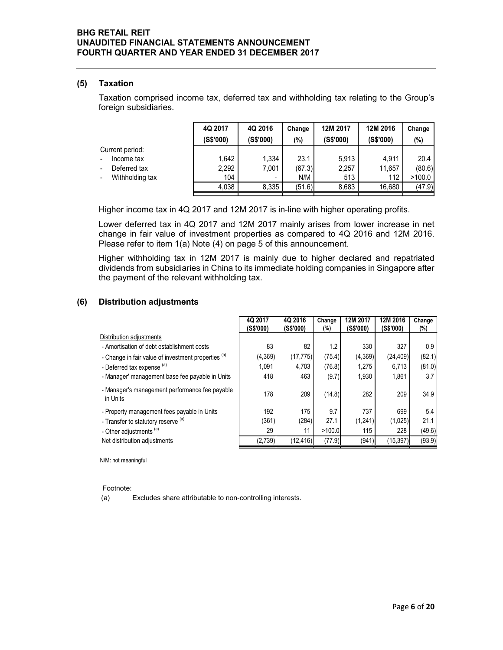### (5) Taxation

| <b>RETAIL REIT</b>                                                                                                                                       |                |                      |                      |                 |                       |                       |                |
|----------------------------------------------------------------------------------------------------------------------------------------------------------|----------------|----------------------|----------------------|-----------------|-----------------------|-----------------------|----------------|
| JDITED FINANCIAL STATEMENTS ANNOUNCEMENT<br>RTH QUARTER AND YEAR ENDED 31 DECEMBER 2017                                                                  |                |                      |                      |                 |                       |                       |                |
|                                                                                                                                                          |                |                      |                      |                 |                       |                       |                |
|                                                                                                                                                          |                |                      |                      |                 |                       |                       |                |
| <b>Taxation</b>                                                                                                                                          |                |                      |                      |                 |                       |                       |                |
| Taxation comprised income tax, deferred tax and withholding tax relating to the Group's<br>foreign subsidiaries.                                         |                |                      |                      |                 |                       |                       |                |
|                                                                                                                                                          | 4Q 2017        | 4Q 2016              | Change               | 12M 2017        |                       | 12M 2016              | Change         |
|                                                                                                                                                          | (S\$'000)      | (S\$'000)            | (%)                  | (S\$'000)       |                       | (S\$'000)             | (%)            |
| Current period:                                                                                                                                          |                |                      |                      |                 |                       |                       |                |
| Income tax<br>Deferred tax                                                                                                                               | 1,642<br>2,292 | 1,334<br>7,001       | 23.1<br>(67.3)       |                 | 5,913<br>2,257        | 4,911<br>11,657       | 20.4<br>(80.6) |
| Withholding tax                                                                                                                                          | 104            |                      | N/M                  |                 | 513                   | 112                   | >100.0         |
|                                                                                                                                                          | 4,038          | 8,335                | (51.6)               |                 | 8,683                 | 16,680                | (47.9)         |
| Higher income tax in 4Q 2017 and 12M 2017 is in-line with higher operating profits.                                                                      |                |                      |                      |                 |                       |                       |                |
| Lower deferred tax in 4Q 2017 and 12M 2017 mainly arises from lower increase in net                                                                      |                |                      |                      |                 |                       |                       |                |
| change in fair value of investment properties as compared to 4Q 2016 and 12M 2016.<br>Please refer to item 1(a) Note (4) on page 5 of this announcement. |                |                      |                      |                 |                       |                       |                |
| Higher withholding tax in 12M 2017 is mainly due to higher declared and repatriated                                                                      |                |                      |                      |                 |                       |                       |                |
| dividends from subsidiaries in China to its immediate holding companies in Singapore after                                                               |                |                      |                      |                 |                       |                       |                |
| the payment of the relevant withholding tax.                                                                                                             |                |                      |                      |                 |                       |                       |                |
| <b>Distribution adjustments</b>                                                                                                                          |                |                      |                      |                 |                       |                       |                |
|                                                                                                                                                          |                |                      |                      |                 |                       |                       |                |
|                                                                                                                                                          |                | 4Q 2017<br>(S\$'000) | 4Q 2016<br>(S\$'000) | Change<br>(%)   | 12M 2017<br>(S\$'000) | 12M 2016<br>(S\$'000) | Change<br>(%)  |
| Distribution adjustments                                                                                                                                 |                |                      |                      |                 |                       |                       |                |
| - Amortisation of debt establishment costs                                                                                                               |                | 83                   | 82                   | 1.2             | 330                   | 327                   | 0.9            |
| - Change in fair value of investment properties (a)                                                                                                      |                | (4,369)              | (17, 775)            | (75.4)          | (4, 369)              | (24, 409)             | (82.1)         |
|                                                                                                                                                          |                | 1,091                | 4,703                | (76.8)<br>(9.7) | 1,275<br>1,930        | 6,713                 | (81.0)<br>3.7  |
| - Deferred tax expense (a)<br>- Manager' management base fee payable in Units                                                                            |                | 418                  | 463                  |                 |                       | 1,861                 |                |

### (6) Distribution adjustments

|                                                                                                                                                                                                                                                                      | (S\$'000) | (S\$'000)            | (%)                  | (S\$'000)     |                       | (S\$'000)             | $(\%)$        |
|----------------------------------------------------------------------------------------------------------------------------------------------------------------------------------------------------------------------------------------------------------------------|-----------|----------------------|----------------------|---------------|-----------------------|-----------------------|---------------|
| Current period:                                                                                                                                                                                                                                                      |           |                      |                      |               |                       |                       |               |
| Income tax                                                                                                                                                                                                                                                           | 1,642     | 1,334                | 23.1                 |               | 5,913                 | 4,911                 | 20.4          |
| Deferred tax                                                                                                                                                                                                                                                         | 2,292     | 7,001                | (67.3)               |               | 2,257                 | 11,657                | (80.6)        |
| Withholding tax                                                                                                                                                                                                                                                      | 104       |                      | N/M                  |               | 513                   | 112                   | >100.0        |
|                                                                                                                                                                                                                                                                      | 4,038     | 8,335                | (51.6)               |               | 8,683                 | 16,680                | (47.9)        |
|                                                                                                                                                                                                                                                                      |           |                      |                      |               |                       |                       |               |
| Higher income tax in 4Q 2017 and 12M 2017 is in-line with higher operating profits.                                                                                                                                                                                  |           |                      |                      |               |                       |                       |               |
| Lower deferred tax in 4Q 2017 and 12M 2017 mainly arises from lower increase in net<br>change in fair value of investment properties as compared to 4Q 2016 and 12M 2016.<br>Please refer to item 1(a) Note (4) on page 5 of this announcement.                      |           |                      |                      |               |                       |                       |               |
| Higher withholding tax in 12M 2017 is mainly due to higher declared and repatriated<br>dividends from subsidiaries in China to its immediate holding companies in Singapore after<br>the payment of the relevant withholding tax.<br><b>Distribution adjustments</b> |           |                      |                      |               |                       |                       |               |
|                                                                                                                                                                                                                                                                      |           |                      |                      |               |                       |                       |               |
|                                                                                                                                                                                                                                                                      |           | 4Q 2017<br>(S\$'000) | 4Q 2016<br>(S\$'000) | Change<br>(%) | 12M 2017<br>(S\$'000) | 12M 2016<br>(S\$'000) | Change<br>(%) |
| Distribution adjustments                                                                                                                                                                                                                                             |           |                      |                      |               |                       |                       |               |
| - Amortisation of debt establishment costs                                                                                                                                                                                                                           |           | 83                   | 82                   | 1.2           | 330                   | 327                   | 0.9           |
| - Change in fair value of investment properties (a)                                                                                                                                                                                                                  |           | (4,369)              | (17, 775)            | (75.4)        | (4, 369)              | (24, 409)             | (82.1)        |
| - Deferred tax expense (a)                                                                                                                                                                                                                                           |           | 1,091                | 4,703                | (76.8)        | 1,275                 | 6,713                 | (81.0)        |
| - Manager' management base fee payable in Units                                                                                                                                                                                                                      |           | 418                  | 463                  | (9.7)         | 1,930                 | 1,861                 | 3.7           |
| - Manager's management performance fee payable<br>in Units                                                                                                                                                                                                           |           | 178                  | 209                  | (14.8)        | 282                   | 209                   | 34.9          |
| - Property management fees payable in Units                                                                                                                                                                                                                          |           | 192                  | 175                  | 9.7           | 737                   | 699                   | 5.4           |
| - Transfer to statutory reserve (a)                                                                                                                                                                                                                                  |           | (361)                | (284)                | 27.1          | (1, 241)              | (1,025)               | 21.1          |
| - Other adjustments <sup>(a)</sup>                                                                                                                                                                                                                                   |           | 29                   | 11                   | >100.0        | 115                   | 228                   | (49.6)        |
| Net distribution adjustments                                                                                                                                                                                                                                         |           | (2,739)              | (12, 416)            | (77.9)        | (941)                 | (15, 397)             | (93.9)        |
|                                                                                                                                                                                                                                                                      |           |                      |                      |               |                       |                       |               |
|                                                                                                                                                                                                                                                                      |           |                      |                      |               |                       |                       |               |
| N/M: not meaningful                                                                                                                                                                                                                                                  |           |                      |                      |               |                       |                       |               |
|                                                                                                                                                                                                                                                                      |           |                      |                      |               |                       |                       |               |
| Footnote:                                                                                                                                                                                                                                                            |           |                      |                      |               |                       |                       |               |

#### Footnote:

(a) Excludes share attributable to non-controlling interests.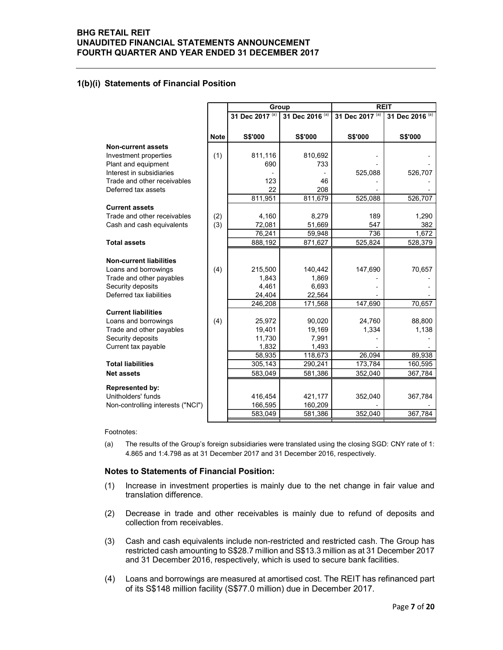### 1(b)(i) Statements of Financial Position

| <b>RETAIL REIT</b><br>DITED FINANCIAL STATEMENTS ANNOUNCEMENT<br>TH QUARTER AND YEAR ENDED 31 DECEMBER 2017<br><b>Statements of Financial Position</b><br><b>Non-current assets</b><br>Investment properties<br>Plant and equipment<br>Interest in subsidiaries<br>Trade and other receivables<br>Deferred tax assets | <b>Note</b> | Group<br>31 Dec 2017 (a) |                    |                          |                 |
|-----------------------------------------------------------------------------------------------------------------------------------------------------------------------------------------------------------------------------------------------------------------------------------------------------------------------|-------------|--------------------------|--------------------|--------------------------|-----------------|
|                                                                                                                                                                                                                                                                                                                       |             |                          |                    |                          |                 |
|                                                                                                                                                                                                                                                                                                                       |             |                          |                    |                          |                 |
|                                                                                                                                                                                                                                                                                                                       |             |                          |                    |                          |                 |
|                                                                                                                                                                                                                                                                                                                       |             |                          |                    |                          |                 |
|                                                                                                                                                                                                                                                                                                                       |             |                          |                    |                          |                 |
|                                                                                                                                                                                                                                                                                                                       |             |                          |                    |                          |                 |
|                                                                                                                                                                                                                                                                                                                       |             |                          |                    |                          |                 |
|                                                                                                                                                                                                                                                                                                                       |             |                          |                    |                          |                 |
|                                                                                                                                                                                                                                                                                                                       |             |                          |                    |                          |                 |
|                                                                                                                                                                                                                                                                                                                       |             |                          |                    |                          |                 |
|                                                                                                                                                                                                                                                                                                                       |             |                          |                    |                          |                 |
|                                                                                                                                                                                                                                                                                                                       |             |                          |                    |                          |                 |
|                                                                                                                                                                                                                                                                                                                       |             |                          |                    |                          |                 |
|                                                                                                                                                                                                                                                                                                                       |             |                          |                    |                          |                 |
|                                                                                                                                                                                                                                                                                                                       |             |                          |                    | <b>REIT</b>              |                 |
|                                                                                                                                                                                                                                                                                                                       |             |                          | 31 Dec 2016 (a)    | 31 Dec 2017 (a)          | 31 Dec 2016 (a) |
|                                                                                                                                                                                                                                                                                                                       |             |                          |                    |                          |                 |
|                                                                                                                                                                                                                                                                                                                       |             | S\$'000                  | <b>S\$'000</b>     | <b>S\$'000</b>           | S\$'000         |
|                                                                                                                                                                                                                                                                                                                       |             |                          |                    |                          |                 |
|                                                                                                                                                                                                                                                                                                                       | (1)         | 811,116                  | 810,692            |                          |                 |
|                                                                                                                                                                                                                                                                                                                       |             | 690                      | 733                |                          |                 |
|                                                                                                                                                                                                                                                                                                                       |             |                          |                    | 525,088                  | 526,707         |
|                                                                                                                                                                                                                                                                                                                       |             | 123                      | 46                 |                          |                 |
|                                                                                                                                                                                                                                                                                                                       |             | 22                       | 208                | $\overline{\phantom{a}}$ |                 |
|                                                                                                                                                                                                                                                                                                                       |             | 811,951                  | 811,679            | 525,088                  | 526,707         |
| <b>Current assets</b><br>Trade and other receivables                                                                                                                                                                                                                                                                  | (2)         | 4,160                    | 8,279              | 189                      | 1,290           |
| Cash and cash equivalents                                                                                                                                                                                                                                                                                             | (3)         | 72,081                   | 51,669             | 547                      | 382             |
|                                                                                                                                                                                                                                                                                                                       |             | 76,241                   | 59,948             | 736                      | 1,672           |
| <b>Total assets</b>                                                                                                                                                                                                                                                                                                   |             | 888,192                  | 871,627            | 525,824                  | 528,379         |
|                                                                                                                                                                                                                                                                                                                       |             |                          |                    |                          |                 |
| <b>Non-current liabilities</b>                                                                                                                                                                                                                                                                                        |             |                          |                    |                          |                 |
| Loans and borrowings                                                                                                                                                                                                                                                                                                  | (4)         | 215,500                  | 140,442            | 147,690                  | 70,657          |
| Trade and other payables                                                                                                                                                                                                                                                                                              |             | 1,843                    | 1,869              |                          |                 |
| Security deposits                                                                                                                                                                                                                                                                                                     |             | 4,461                    | 6,693              | $\overline{\phantom{a}}$ |                 |
| Deferred tax liabilities                                                                                                                                                                                                                                                                                              |             | 24,404                   | 22,564             |                          |                 |
|                                                                                                                                                                                                                                                                                                                       |             | 246,208                  | 171,568            | 147,690                  | 70,657          |
| <b>Current liabilities</b><br>Loans and borrowings                                                                                                                                                                                                                                                                    |             | 25,972                   | 90,020             | 24,760                   | 88,800          |
| Trade and other payables                                                                                                                                                                                                                                                                                              | (4)         | 19,401                   | 19,169             | 1,334                    | 1,138           |
| Security deposits                                                                                                                                                                                                                                                                                                     |             | 11,730                   | 7,991              |                          |                 |
| Current tax payable                                                                                                                                                                                                                                                                                                   |             | 1,832                    | 1,493              |                          |                 |
|                                                                                                                                                                                                                                                                                                                       |             | 58,935                   | 118,673            | 26,094                   | 89,938          |
| <b>Total liabilities</b>                                                                                                                                                                                                                                                                                              |             | 305,143                  | 290,241            | 173,784                  | 160,595         |
| <b>Net assets</b>                                                                                                                                                                                                                                                                                                     |             | 583,049                  | 581,386            | 352,040                  | 367,784         |
|                                                                                                                                                                                                                                                                                                                       |             |                          |                    |                          |                 |
| Represented by:                                                                                                                                                                                                                                                                                                       |             |                          |                    |                          |                 |
| Unitholders' funds<br>Non-controlling interests ("NCI")                                                                                                                                                                                                                                                               |             | 416,454<br>166,595       | 421,177<br>160,209 | 352,040                  | 367,784         |
|                                                                                                                                                                                                                                                                                                                       |             | 583,049                  | 581,386            | 352,040                  | 367,784         |
|                                                                                                                                                                                                                                                                                                                       |             |                          |                    |                          |                 |
| Footnotes:                                                                                                                                                                                                                                                                                                            |             |                          |                    |                          |                 |
| The results of the Group's foreign subsidiaries were translated using the closing SGD: CNY rate of 1:<br>(a)                                                                                                                                                                                                          |             |                          |                    |                          |                 |

#### Notes to Statements of Financial Position:

- (1) Increase in investment properties is mainly due to the net change in fair value and translation difference.
- (2) Decrease in trade and other receivables is mainly due to refund of deposits and collection from receivables.
- (3) Cash and cash equivalents include non-restricted and restricted cash. The Group has restricted cash amounting to S\$28.7 million and S\$13.3 million as at 31 December 2017 and 31 December 2016, respectively, which is used to secure bank facilities.
- (4) Loans and borrowings are measured at amortised cost. The REIT has refinanced part of its S\$148 million facility (S\$77.0 million) due in December 2017.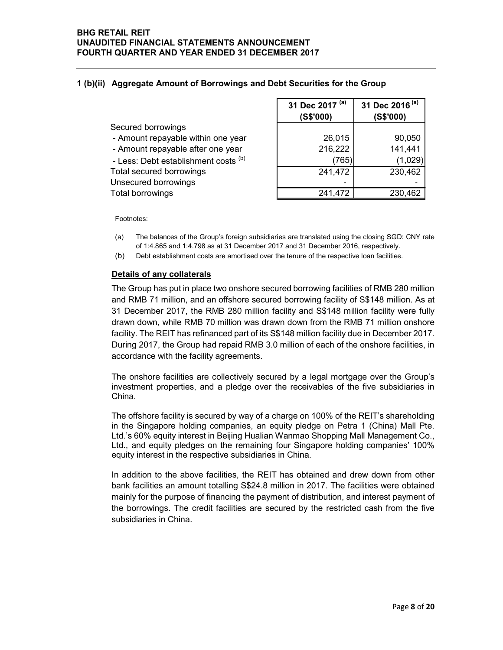## 1 (b)(ii) Aggregate Amount of Borrowings and Debt Securities for the Group

| <b>TAIL REIT</b>                                                                   |                              |                                         |
|------------------------------------------------------------------------------------|------------------------------|-----------------------------------------|
| TED FINANCIAL STATEMENTS ANNOUNCEMENT<br>I QUARTER AND YEAR ENDED 31 DECEMBER 2017 |                              |                                         |
|                                                                                    |                              |                                         |
|                                                                                    |                              |                                         |
|                                                                                    |                              |                                         |
| Aggregate Amount of Borrowings and Debt Securities for the Group                   |                              |                                         |
|                                                                                    | 31 Dec 2017 (a)<br>(S\$'000) | 31 Dec 2016 <sup>(a)</sup><br>(S\$'000) |
| Secured borrowings                                                                 |                              |                                         |
| - Amount repayable within one year                                                 | 26,015                       | 90,050                                  |
| - Amount repayable after one year                                                  | 216,222                      | 141,441                                 |
| - Less: Debt establishment costs (b)                                               | (765)                        | (1,029)                                 |
| Total secured borrowings                                                           | 241,472                      | 230,462                                 |
| Unsecured borrowings<br>Total borrowings                                           | 241,472                      | 230,462                                 |

Footnotes:

- (a) The balances of the Group's foreign subsidiaries are translated using the closing SGD: CNY rate of 1:4.865 and 1:4.798 as at 31 December 2017 and 31 December 2016, respectively.
- (b) Debt establishment costs are amortised over the tenure of the respective loan facilities.

### Details of any collaterals

The Group has put in place two onshore secured borrowing facilities of RMB 280 million and RMB 71 million, and an offshore secured borrowing facility of S\$148 million. As at 31 December 2017, the RMB 280 million facility and S\$148 million facility were fully drawn down, while RMB 70 million was drawn down from the RMB 71 million onshore facility. The REIT has refinanced part of its S\$148 million facility due in December 2017. During 2017, the Group had repaid RMB 3.0 million of each of the onshore facilities, in accordance with the facility agreements.

The onshore facilities are collectively secured by a legal mortgage over the Group's investment properties, and a pledge over the receivables of the five subsidiaries in China.

The offshore facility is secured by way of a charge on 100% of the REIT's shareholding in the Singapore holding companies, an equity pledge on Petra 1 (China) Mall Pte. Ltd.'s 60% equity interest in Beijing Hualian Wanmao Shopping Mall Management Co., Ltd., and equity pledges on the remaining four Singapore holding companies' 100% equity interest in the respective subsidiaries in China.

In addition to the above facilities, the REIT has obtained and drew down from other bank facilities an amount totalling S\$24.8 million in 2017. The facilities were obtained mainly for the purpose of financing the payment of distribution, and interest payment of the borrowings. The credit facilities are secured by the restricted cash from the five subsidiaries in China.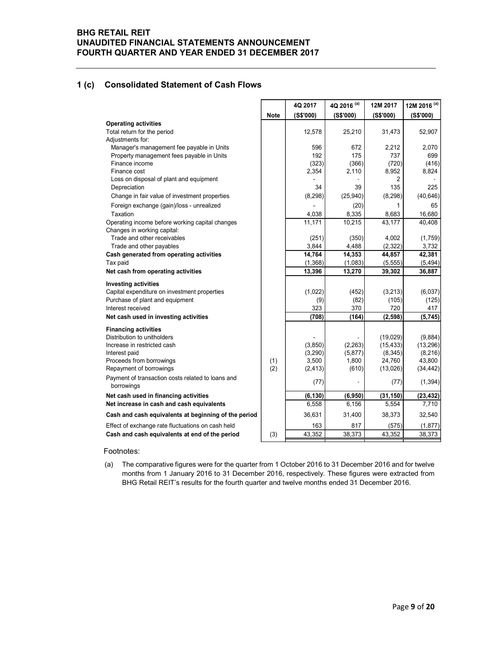### 1 (c) Consolidated Statement of Cash Flows

| RETAIL REIT<br>DITED FINANCIAL STATEMENTS ANNOUNCEMENT<br>TH QUARTER AND YEAR ENDED 31 DECEMBER 2017<br><b>Consolidated Statement of Cash Flows</b> |             |                |                        |                       |                         |
|-----------------------------------------------------------------------------------------------------------------------------------------------------|-------------|----------------|------------------------|-----------------------|-------------------------|
|                                                                                                                                                     |             |                |                        |                       |                         |
|                                                                                                                                                     |             |                |                        |                       |                         |
|                                                                                                                                                     |             |                |                        |                       |                         |
|                                                                                                                                                     |             |                |                        |                       |                         |
|                                                                                                                                                     |             |                |                        |                       |                         |
|                                                                                                                                                     |             |                |                        |                       |                         |
|                                                                                                                                                     |             |                |                        |                       |                         |
|                                                                                                                                                     |             |                |                        |                       |                         |
|                                                                                                                                                     |             |                |                        |                       |                         |
|                                                                                                                                                     |             |                |                        |                       |                         |
|                                                                                                                                                     |             |                |                        |                       |                         |
|                                                                                                                                                     |             | 4Q 2017        | 4Q 2016 <sup>(a)</sup> | 12M 2017              | 12M 2016 <sup>(a)</sup> |
|                                                                                                                                                     | <b>Note</b> | (S\$'000)      | (S\$'000)              | (S\$'000)             | (S\$'000)               |
| <b>Operating activities</b>                                                                                                                         |             |                |                        |                       |                         |
| Total return for the period<br>Adjustments for:                                                                                                     |             | 12,578         | 25,210                 | 31,473                | 52,907                  |
| Manager's management fee payable in Units                                                                                                           |             | 596            | 672                    | 2,212                 | 2,070                   |
| Property management fees payable in Units                                                                                                           |             | 192            | 175                    | 737                   | 699                     |
| Finance income                                                                                                                                      |             | (323)          | (366)                  | (720)                 | (416)                   |
| Finance cost                                                                                                                                        |             | 2,354          | 2,110                  | 8,952<br>2            | 8,824                   |
| Loss on disposal of plant and equipment<br>Depreciation                                                                                             |             | 34             | 39                     | 135                   | 225                     |
| Change in fair value of investment properties                                                                                                       |             | (8, 298)       | (25,940)               | (8, 298)              | (40, 646)               |
| Foreign exchange (gain)/loss - unrealized                                                                                                           |             |                | (20)                   | 1                     | 65                      |
| Taxation                                                                                                                                            |             | 4,038          | 8,335                  | 8,683                 | 16,680                  |
| Operating income before working capital changes                                                                                                     |             | 11,171         | 10,215                 | 43,177                | 40,408                  |
| Changes in working capital:                                                                                                                         |             |                |                        |                       |                         |
| Trade and other receivables<br>Trade and other payables                                                                                             |             | (251)<br>3,844 | (350)<br>4,488         | 4,002<br>(2, 322)     | (1,759)<br>3,732        |
| Cash generated from operating activities                                                                                                            |             | 14,764         | 14,353                 | 44,857                | 42,381                  |
| Tax paid                                                                                                                                            |             | (1, 368)       | (1,083)                | (5, 555)              | (5, 494)                |
| Net cash from operating activities                                                                                                                  |             | 13,396         | 13,270                 | 39,302                | 36,887                  |
| <b>Investing activities</b>                                                                                                                         |             |                |                        |                       |                         |
| Capital expenditure on investment properties                                                                                                        |             | (1,022)        | (452)                  | (3, 213)              | (6,037)                 |
| Purchase of plant and equipment                                                                                                                     |             | (9)            | (82)                   | (105)                 | (125)                   |
| Interest received                                                                                                                                   |             | 323            | 370                    | 720                   | 417                     |
| Net cash used in investing activities                                                                                                               |             | (708)          | (164)                  | (2, 598)              | (5, 745)                |
| <b>Financing activities</b>                                                                                                                         |             |                |                        |                       |                         |
| Distribution to unitholders<br>Increase in restricted cash                                                                                          |             | (3,850)        | (2, 263)               | (19,029)<br>(15, 433) | (9,884)<br>(13, 296)    |
| Interest paid                                                                                                                                       |             | (3,290)        | (5, 877)               | (8, 345)              | (8, 216)                |
| Proceeds from borrowings                                                                                                                            | (1)         | 3,500          | 1,800                  | 24,760                | 43,800                  |
| Repayment of borrowings                                                                                                                             | (2)         | (2, 413)       | (610)                  | (13,026)              | (34, 442)               |
| Payment of transaction costs related to loans and<br>borrowings                                                                                     |             | (77)           |                        | (77)                  | (1, 394)                |
|                                                                                                                                                     |             | (6, 130)       | (6, 950)               | (31, 150)             | (23, 432)               |
|                                                                                                                                                     |             | 6,558          | 6,156                  | 5,554                 | 7,710                   |
|                                                                                                                                                     |             |                | 31,400                 | 38,373                |                         |
| Net cash used in financing activities<br>Net increase in cash and cash equivalents                                                                  |             |                |                        |                       |                         |
| Cash and cash equivalents at beginning of the period                                                                                                |             | 36,631         |                        |                       | 32,540                  |
| Effect of exchange rate fluctuations on cash held<br>Cash and cash equivalents at end of the period                                                 | (3)         | 163<br>43,352  | 817<br>38,373          | (575)<br>43,352       | (1, 877)<br>38,373      |

#### Footnotes: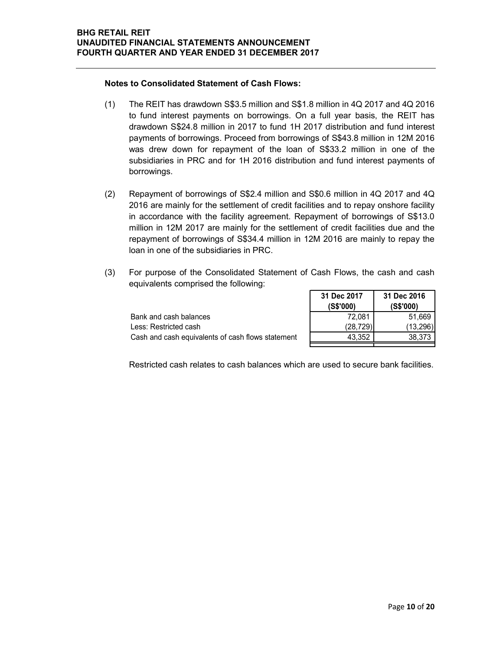### Notes to Consolidated Statement of Cash Flows:

- (1) The REIT has drawdown S\$3.5 million and S\$1.8 million in 4Q 2017 and 4Q 2016 to fund interest payments on borrowings. On a full year basis, the REIT has drawdown S\$24.8 million in 2017 to fund 1H 2017 distribution and fund interest payments of borrowings. Proceed from borrowings of S\$43.8 million in 12M 2016 was drew down for repayment of the loan of S\$33.2 million in one of the subsidiaries in PRC and for 1H 2016 distribution and fund interest payments of borrowings. million in 4Q 2017 and 4Q 2016<br>
full year basis, the REIT has<br>
distribution and fund interest<br>
of S\$43.8 million in 12M 2016<br>
5\$33.2 million in one of the<br>
and fund interest payments of<br>
D.6 million in 4Q 2017 and 4Q<br>
s a The REIT has drawdown S53.5 smillion and S51,8 million in 4Q 2017 and 4Q 2016<br>
of fund checks bare and convings. On a full year basis, the REIT has<br>
drawdown S524.8 million in 2017 to fund 1H 2017 distribution and fund in
- (2) Repayment of borrowings of S\$2.4 million and S\$0.6 million in 4Q 2017 and 4Q 2016 are mainly for the settlement of credit facilities and to repay onshore facility in accordance with the facility agreement. Repayment of borrowings of S\$13.0 million in 12M 2017 are mainly for the settlement of credit facilities due and the repayment of borrowings of S\$34.4 million in 12M 2016 are mainly to repay the loan in one of the subsidiaries in PRC.
- (3) For purpose of the Consolidated Statement of Cash Flows, the cash and cash equivalents comprised the following:

| Bank and cash balances                            |
|---------------------------------------------------|
| Less: Restricted cash                             |
| Cash and cash equivalents of cash flows statement |

| 31 Dec 2017<br>(S\$'000) | 31 Dec 2016<br>(S\$'000) |
|--------------------------|--------------------------|
| 72,081                   | 51,669                   |
| (28, 729)                | (13, 296)                |
| 43.352                   | 38.373                   |
|                          |                          |

Restricted cash relates to cash balances which are used to secure bank facilities.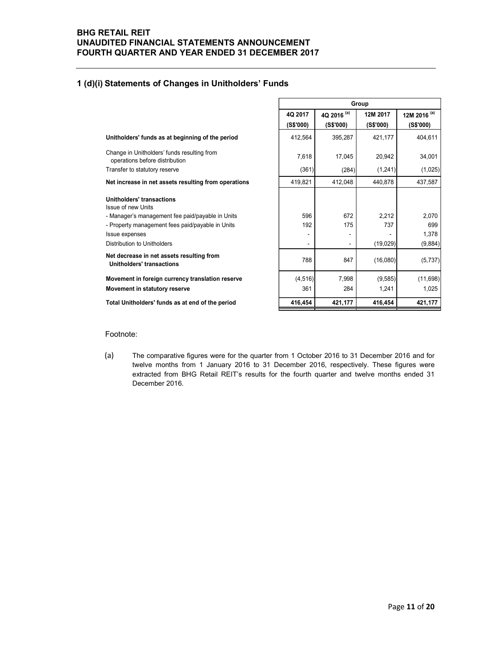### 1 (d)(i) Statements of Changes in Unitholders' Funds

| <b>Statements of Changes in Unitholders' Funds</b>                                                   |                      |                          |                       |                                      |  |  |  |
|------------------------------------------------------------------------------------------------------|----------------------|--------------------------|-----------------------|--------------------------------------|--|--|--|
|                                                                                                      | Group                |                          |                       |                                      |  |  |  |
|                                                                                                      | 4Q 2017<br>(S\$'000) | 4Q 2016 (a)<br>(S\$'000) | 12M 2017<br>(S\$'000) | 12M 2016 <sup>(a)</sup><br>(S\$'000) |  |  |  |
| Unitholders' funds as at beginning of the period                                                     | 412,564              | 395,287                  | 421,177               | 404,611                              |  |  |  |
| Change in Unitholders' funds resulting from<br>operations before distribution                        | 7,618                | 17,045                   | 20,942                | 34,001                               |  |  |  |
| Transfer to statutory reserve                                                                        | (361)                | (284)                    | (1,241)               | (1,025)                              |  |  |  |
| Net increase in net assets resulting from operations                                                 | 419,821              | 412,048                  | 440,878               | 437,587                              |  |  |  |
| <b>Unitholders' transactions</b><br>Issue of new Units                                               |                      |                          |                       |                                      |  |  |  |
| - Manager's management fee paid/payable in Units<br>- Property management fees paid/payable in Units | 596<br>192           | 672<br>175               | 2,212<br>737          | 2,070<br>699                         |  |  |  |
| Issue expenses                                                                                       | $\blacksquare$       | $\blacksquare$           |                       | 1,378                                |  |  |  |
| Distribution to Unitholders                                                                          | $\sim$               | $\overline{a}$           | (19,029)              | (9,884)                              |  |  |  |
| Net decrease in net assets resulting from<br><b>Unitholders' transactions</b>                        | 788                  | 847                      | (16,080)              | (5,737)                              |  |  |  |
| Movement in foreign currency translation reserve                                                     | (4, 516)             | 7,998                    | (9,585)               | (11, 698)                            |  |  |  |
| Movement in statutory reserve                                                                        | 361                  | 284                      | 1,241                 | 1,025                                |  |  |  |
| Total Unitholders' funds as at end of the period                                                     | 416,454              | 421,177                  | 416,454               | 421,177                              |  |  |  |

#### Footnote:

(a) The comparative figures were for the quarter from 1 October 2016 to 31 December 2016 and for twelve months from 1 January 2016 to 31 December 2016, respectively. These figures were extracted from BHG Retail REIT's results for the fourth quarter and twelve months ended 31 December 2016.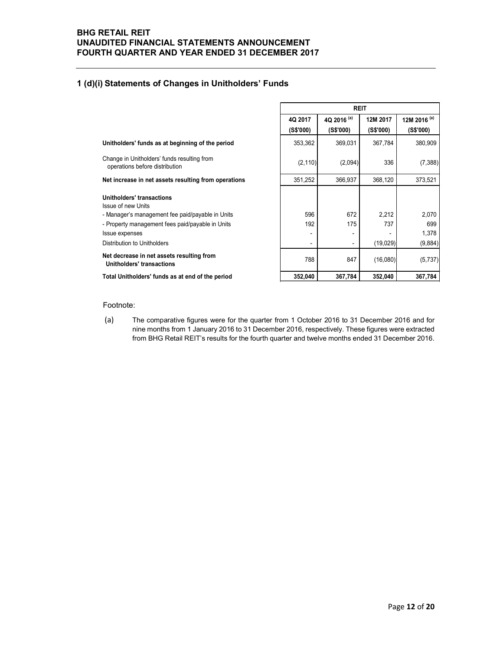# 1 (d)(i) Statements of Changes in Unitholders' Funds

| <b>RETAIL REIT</b>                                                                                    |                      |                                     |                       |                           |
|-------------------------------------------------------------------------------------------------------|----------------------|-------------------------------------|-----------------------|---------------------------|
| <b>JDITED FINANCIAL STATEMENTS ANNOUNCEMENT</b><br><b>RTH QUARTER AND YEAR ENDED 31 DECEMBER 2017</b> |                      |                                     |                       |                           |
| i) Statements of Changes in Unitholders' Funds                                                        |                      |                                     |                       |                           |
|                                                                                                       |                      | <b>REIT</b>                         |                       |                           |
|                                                                                                       | 4Q 2017<br>(S\$'000) | 4Q 2016 <sup>(a)</sup><br>(S\$'000) | 12M 2017<br>(S\$'000) | 12M 2016 (a)<br>(S\$'000) |
| Unitholders' funds as at beginning of the period                                                      | 353,362              | 369,031                             | 367,784               | 380,909                   |
| Change in Unitholders' funds resulting from<br>operations before distribution                         | (2, 110)             | (2,094)                             | 336                   | (7, 388)                  |
| Net increase in net assets resulting from operations                                                  | 351,252              | 366,937                             | 368,120               | 373,521                   |
| <b>Unitholders' transactions</b><br>Issue of new Units                                                |                      |                                     |                       |                           |
| - Manager's management fee paid/payable in Units                                                      | 596                  | 672                                 | 2,212                 | 2,070                     |
| - Property management fees paid/payable in Units<br>Issue expenses                                    | 192                  | 175                                 | 737                   | 699<br>1,378              |
| <b>Distribution to Unitholders</b>                                                                    |                      |                                     | (19,029)              | (9,884)                   |
| Net decrease in net assets resulting from<br><b>Unitholders' transactions</b>                         | 788                  | 847                                 | (16,080)              | (5,737)                   |
|                                                                                                       | 352,040              | 367,784                             | 352,040               | 367,784                   |

#### Footnote:

(a) The comparative figures were for the quarter from 1 October 2016 to 31 December 2016 and for nine months from 1 January 2016 to 31 December 2016, respectively. These figures were extracted from BHG Retail REIT's results for the fourth quarter and twelve months ended 31 December 2016.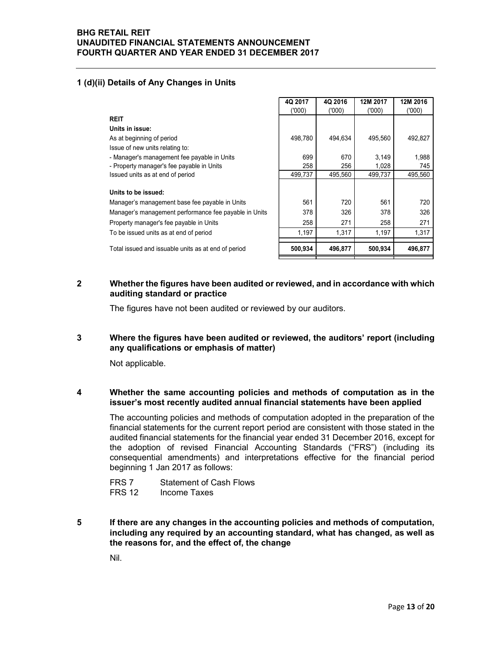### 1 (d)(ii) Details of Any Changes in Units

| <b>TAIL REIT</b>                                                                                                                                                                                                                                    |                |                |                  |                |
|-----------------------------------------------------------------------------------------------------------------------------------------------------------------------------------------------------------------------------------------------------|----------------|----------------|------------------|----------------|
| TED FINANCIAL STATEMENTS ANNOUNCEMENT                                                                                                                                                                                                               |                |                |                  |                |
| I QUARTER AND YEAR ENDED 31 DECEMBER 2017                                                                                                                                                                                                           |                |                |                  |                |
|                                                                                                                                                                                                                                                     |                |                |                  |                |
| Details of Any Changes in Units                                                                                                                                                                                                                     |                |                |                  |                |
|                                                                                                                                                                                                                                                     |                |                |                  |                |
|                                                                                                                                                                                                                                                     | 4Q 2017        | 4Q 2016        | 12M 2017         | 12M 2016       |
|                                                                                                                                                                                                                                                     | (000)          | (000)          | (000)            | (000)          |
|                                                                                                                                                                                                                                                     |                |                |                  |                |
|                                                                                                                                                                                                                                                     |                |                |                  |                |
| <b>REIT</b><br>Units in issue:                                                                                                                                                                                                                      |                |                |                  |                |
| As at beginning of period                                                                                                                                                                                                                           | 498,780        | 494,634        | 495,560          | 492,827        |
| Issue of new units relating to:                                                                                                                                                                                                                     |                |                |                  |                |
| - Manager's management fee payable in Units                                                                                                                                                                                                         | 699            | 670            | 3,149            | 1,988          |
| - Property manager's fee payable in Units<br>Issued units as at end of period                                                                                                                                                                       | 258<br>499,737 | 256<br>495,560 | 1,028<br>499,737 | 745<br>495,560 |
|                                                                                                                                                                                                                                                     |                |                |                  |                |
| Units to be issued:                                                                                                                                                                                                                                 |                |                |                  |                |
|                                                                                                                                                                                                                                                     | 561            | 720            | 561              | 720            |
|                                                                                                                                                                                                                                                     | 378            | 326            | 378              | 326            |
|                                                                                                                                                                                                                                                     | 258            | 271            | 258              | 271            |
|                                                                                                                                                                                                                                                     | 1,197          | 1,317          | 1,197            | 1,317          |
| Manager's management base fee payable in Units<br>Manager's management performance fee payable in Units<br>Property manager's fee payable in Units<br>To be issued units as at end of period<br>Total issued and issuable units as at end of period | 500,934        | 496,877        | 500,934          | 496,877        |

### 2 Whether the figures have been audited or reviewed, and in accordance with which auditing standard or practice

The figures have not been audited or reviewed by our auditors.

### 3 Where the figures have been audited or reviewed, the auditors' report (including any qualifications or emphasis of matter)

Not applicable.

### 4 Whether the same accounting policies and methods of computation as in the issuer's most recently audited annual financial statements have been applied

The accounting policies and methods of computation adopted in the preparation of the financial statements for the current report period are consistent with those stated in the audited financial statements for the financial year ended 31 December 2016, except for the adoption of revised Financial Accounting Standards ("FRS") (including its consequential amendments) and interpretations effective for the financial period beginning 1 Jan 2017 as follows:

| FRS <sub>7</sub> | <b>Statement of Cash Flows</b> |
|------------------|--------------------------------|
| <b>FRS 12</b>    | Income Taxes                   |

5 If there are any changes in the accounting policies and methods of computation, including any required by an accounting standard, what has changed, as well as the reasons for, and the effect of, the change

Nil.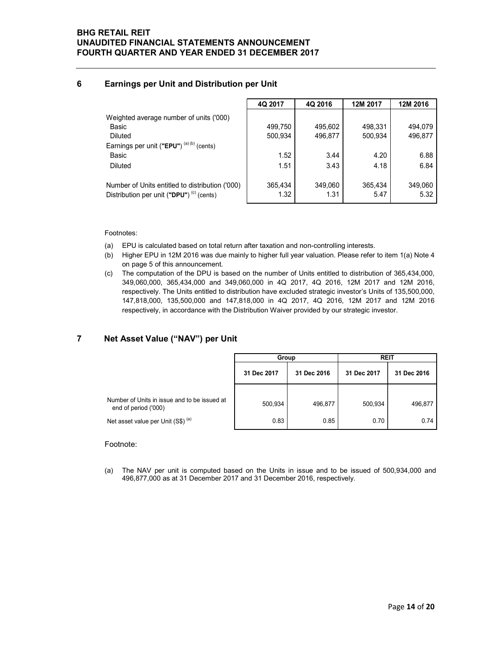## 6 Earnings per Unit and Distribution per Unit

| <b>ETAIL REIT</b>                                   |         |         |          |                            |
|-----------------------------------------------------|---------|---------|----------|----------------------------|
|                                                     |         |         |          |                            |
|                                                     |         |         |          |                            |
|                                                     |         |         |          |                            |
|                                                     |         |         |          |                            |
|                                                     |         |         |          |                            |
|                                                     |         |         |          |                            |
| DITED FINANCIAL STATEMENTS ANNOUNCEMENT             |         |         |          |                            |
| TH QUARTER AND YEAR ENDED 31 DECEMBER 2017          |         |         |          |                            |
|                                                     |         |         |          |                            |
| Earnings per Unit and Distribution per Unit         |         |         |          |                            |
|                                                     |         |         |          |                            |
|                                                     |         |         |          |                            |
|                                                     | 4Q 2017 | 4Q 2016 | 12M 2017 | 12M 2016                   |
| Weighted average number of units ('000)             |         |         |          |                            |
| Basic                                               | 499,750 | 495,602 | 498,331  |                            |
| Diluted                                             | 500,934 | 496,877 | 500,934  |                            |
| Earnings per unit ("EPU") <sup>(a)(b)</sup> (cents) |         |         |          |                            |
| Basic                                               | 1.52    | 3.44    | 4.20     | 494,079<br>496,877<br>6.88 |
| <b>Diluted</b>                                      | 1.51    | 3.43    | 4.18     |                            |
| Number of Units entitled to distribution ('000)     | 365,434 | 349,060 | 365,434  | 6.84<br>349,060            |

- (a) EPU is calculated based on total return after taxation and non-controlling interests.
- (b) Higher EPU in 12M 2016 was due mainly to higher full year valuation. Please refer to item 1(a) Note 4 on page 5 of this announcement.
- (c) The computation of the DPU is based on the number of Units entitled to distribution of 365,434,000, 349,060,000, 365,434,000 and 349,060,000 in 4Q 2017, 4Q 2016, 12M 2017 and 12M 2016, respectively. The Units entitled to distribution have excluded strategic investor's Units of 135,500,000, 147,818,000, 135,500,000 and 147,818,000 in 4Q 2017, 4Q 2016, 12M 2017 and 12M 2016 respectively, in accordance with the Distribution Waiver provided by our strategic investor.

# 7 Net Asset Value ("NAV") per Unit

| Earnings per unit ("EPU") <sup>(a)(b)</sup> (cents)                                                                                                                                                                                                                                                                                                                                                                                                                                                                                |             |                                                 |                                 |                                                                                                                                     |
|------------------------------------------------------------------------------------------------------------------------------------------------------------------------------------------------------------------------------------------------------------------------------------------------------------------------------------------------------------------------------------------------------------------------------------------------------------------------------------------------------------------------------------|-------------|-------------------------------------------------|---------------------------------|-------------------------------------------------------------------------------------------------------------------------------------|
| Basic                                                                                                                                                                                                                                                                                                                                                                                                                                                                                                                              |             |                                                 | 4.20                            | 6.88                                                                                                                                |
| <b>Diluted</b>                                                                                                                                                                                                                                                                                                                                                                                                                                                                                                                     |             |                                                 | 4.18                            | 6.84                                                                                                                                |
|                                                                                                                                                                                                                                                                                                                                                                                                                                                                                                                                    |             |                                                 |                                 | 349,060                                                                                                                             |
| Distribution per unit ("DPU") <sup>(c)</sup> (cents)                                                                                                                                                                                                                                                                                                                                                                                                                                                                               |             |                                                 | 5.47                            | 5.32                                                                                                                                |
|                                                                                                                                                                                                                                                                                                                                                                                                                                                                                                                                    |             |                                                 |                                 |                                                                                                                                     |
|                                                                                                                                                                                                                                                                                                                                                                                                                                                                                                                                    |             |                                                 |                                 |                                                                                                                                     |
|                                                                                                                                                                                                                                                                                                                                                                                                                                                                                                                                    |             |                                                 |                                 |                                                                                                                                     |
| Higher EPU in 12M 2016 was due mainly to higher full year valuation. Please refer to item 1(a) Note 4                                                                                                                                                                                                                                                                                                                                                                                                                              |             |                                                 |                                 |                                                                                                                                     |
| on page 5 of this announcement.<br>The computation of the DPU is based on the number of Units entitled to distribution of 365,434,000,<br>349,060,000, 365,434,000 and 349,060,000 in 4Q 2017, 4Q 2016, 12M 2017 and 12M 2016,<br>respectively. The Units entitled to distribution have excluded strategic investor's Units of 135,500,000,<br>147,818,000, 135,500,000 and 147,818,000 in 4Q 2017, 4Q 2016, 12M 2017 and 12M 2016<br>respectively, in accordance with the Distribution Waiver provided by our strategic investor. |             |                                                 |                                 |                                                                                                                                     |
| <b>Net Asset Value ("NAV") per Unit</b>                                                                                                                                                                                                                                                                                                                                                                                                                                                                                            |             |                                                 |                                 |                                                                                                                                     |
|                                                                                                                                                                                                                                                                                                                                                                                                                                                                                                                                    | Group       |                                                 | <b>REIT</b>                     |                                                                                                                                     |
|                                                                                                                                                                                                                                                                                                                                                                                                                                                                                                                                    | 31 Dec 2017 | 31 Dec 2016                                     | 31 Dec 2017                     | 31 Dec 2016                                                                                                                         |
|                                                                                                                                                                                                                                                                                                                                                                                                                                                                                                                                    |             |                                                 |                                 |                                                                                                                                     |
| Number of Units in issue and to be issued at<br>end of period ('000)                                                                                                                                                                                                                                                                                                                                                                                                                                                               | 500,934     | 496,877                                         | 500,934                         | 496,877                                                                                                                             |
|                                                                                                                                                                                                                                                                                                                                                                                                                                                                                                                                    | Footnotes:  | Number of Units entitled to distribution ('000) | 1.52<br>1.51<br>365,434<br>1.32 | 3.44<br>3.43<br>365,434<br>349,060<br>1.31<br>EPU is calculated based on total return after taxation and non-controlling interests. |

#### Footnote:

(a) The NAV per unit is computed based on the Units in issue and to be issued of 500,934,000 and 496,877,000 as at 31 December 2017 and 31 December 2016, respectively.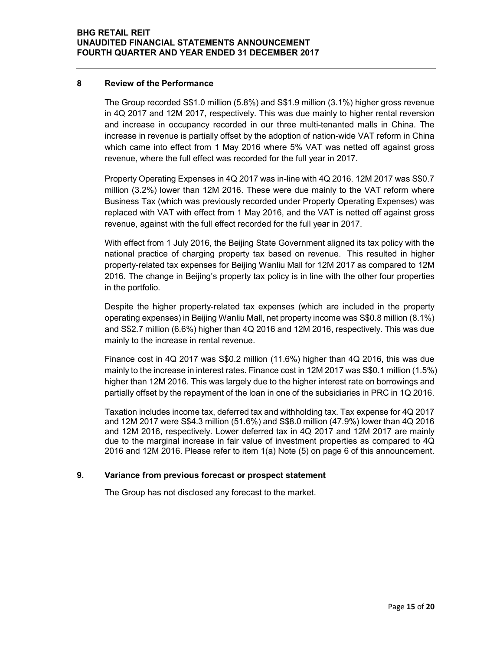### 8 Review of the Performance

The Group recorded S\$1.0 million (5.8%) and S\$1.9 million (3.1%) higher gross revenue in 4Q 2017 and 12M 2017, respectively. This was due mainly to higher rental reversion and increase in occupancy recorded in our three multi-tenanted malls in China. The increase in revenue is partially offset by the adoption of nation-wide VAT reform in China which came into effect from 1 May 2016 where 5% VAT was netted off against gross revenue, where the full effect was recorded for the full year in 2017.

Property Operating Expenses in 4Q 2017 was in-line with 4Q 2016. 12M 2017 was S\$0.7 million (3.2%) lower than 12M 2016. These were due mainly to the VAT reform where Business Tax (which was previously recorded under Property Operating Expenses) was replaced with VAT with effect from 1 May 2016, and the VAT is netted off against gross revenue, against with the full effect recorded for the full year in 2017.

With effect from 1 July 2016, the Beijing State Government aligned its tax policy with the national practice of charging property tax based on revenue. This resulted in higher property-related tax expenses for Beijing Wanliu Mall for 12M 2017 as compared to 12M 2016. The change in Beijing's property tax policy is in line with the other four properties in the portfolio.

Despite the higher property-related tax expenses (which are included in the property operating expenses) in Beijing Wanliu Mall, net property income was S\$0.8 million (8.1%) and S\$2.7 million (6.6%) higher than 4Q 2016 and 12M 2016, respectively. This was due mainly to the increase in rental revenue.

Finance cost in 4Q 2017 was S\$0.2 million (11.6%) higher than 4Q 2016, this was due mainly to the increase in interest rates. Finance cost in 12M 2017 was S\$0.1 million (1.5%) higher than 12M 2016. This was largely due to the higher interest rate on borrowings and partially offset by the repayment of the loan in one of the subsidiaries in PRC in 1Q 2016.

Taxation includes income tax, deferred tax and withholding tax. Tax expense for 4Q 2017 and 12M 2017 were S\$4.3 million (51.6%) and S\$8.0 million (47.9%) lower than 4Q 2016 and 12M 2016, respectively. Lower deferred tax in 4Q 2017 and 12M 2017 are mainly due to the marginal increase in fair value of investment properties as compared to 4Q 2016 and 12M 2016. Please refer to item 1(a) Note (5) on page 6 of this announcement.

### 9. Variance from previous forecast or prospect statement

The Group has not disclosed any forecast to the market.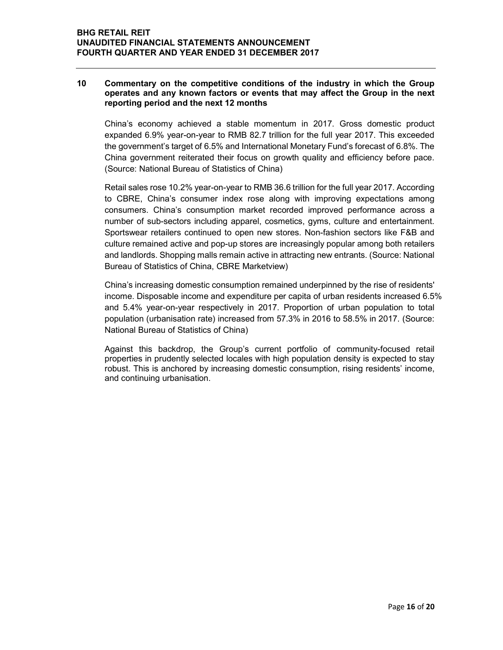### 10 Commentary on the competitive conditions of the industry in which the Group operates and any known factors or events that may affect the Group in the next reporting period and the next 12 months

China's economy achieved a stable momentum in 2017. Gross domestic product expanded 6.9% year-on-year to RMB 82.7 trillion for the full year 2017. This exceeded the government's target of 6.5% and International Monetary Fund's forecast of 6.8%. The China government reiterated their focus on growth quality and efficiency before pace. (Source: National Bureau of Statistics of China)

Retail sales rose 10.2% year-on-year to RMB 36.6 trillion for the full year 2017. According to CBRE, China's consumer index rose along with improving expectations among consumers. China's consumption market recorded improved performance across a number of sub-sectors including apparel, cosmetics, gyms, culture and entertainment. Sportswear retailers continued to open new stores. Non-fashion sectors like F&B and culture remained active and pop-up stores are increasingly popular among both retailers and landlords. Shopping malls remain active in attracting new entrants. (Source: National Bureau of Statistics of China, CBRE Marketview)

China's increasing domestic consumption remained underpinned by the rise of residents' income. Disposable income and expenditure per capita of urban residents increased 6.5% and 5.4% year-on-year respectively in 2017. Proportion of urban population to total population (urbanisation rate) increased from 57.3% in 2016 to 58.5% in 2017. (Source: National Bureau of Statistics of China)

Against this backdrop, the Group's current portfolio of community-focused retail properties in prudently selected locales with high population density is expected to stay robust. This is anchored by increasing domestic consumption, rising residents' income, and continuing urbanisation.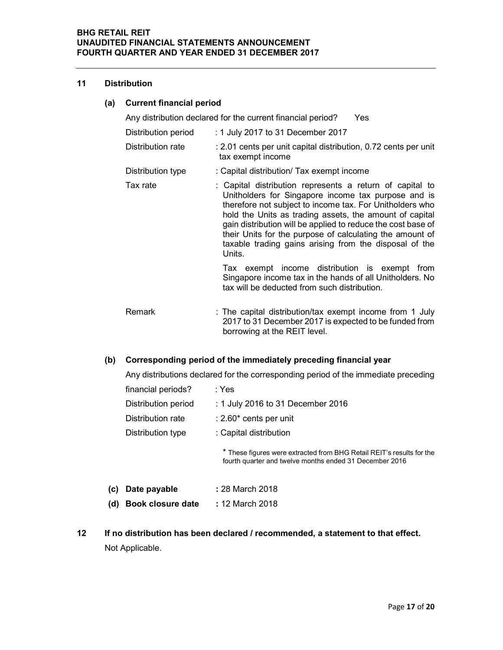### 11 Distribution

### (a) Current financial period

Any distribution declared for the current financial period? Yes

| Distribution period | : 1 July 2017 to 31 December 2017 |
|---------------------|-----------------------------------|
|                     |                                   |

- Distribution rate : 2.01 cents per unit capital distribution, 0.72 cents per unit tax exempt income
- Distribution type : Capital distribution/ Tax exempt income
- Tax rate **in the Capital distribution represents a return of capital to** Unitholders for Singapore income tax purpose and is therefore not subject to income tax. For Unitholders who hold the Units as trading assets, the amount of capital gain distribution will be applied to reduce the cost base of their Units for the purpose of calculating the amount of taxable trading gains arising from the disposal of the Units. Tax exempt income distribution is exempt from

Singapore income tax in the hands of all Unitholders. No tax will be deducted from such distribution.

Remark : The capital distribution/tax exempt income from 1 July 2017 to 31 December 2017 is expected to be funded from borrowing at the REIT level.

### (b) Corresponding period of the immediately preceding financial year

Any distributions declared for the corresponding period of the immediate preceding

| financial periods?  | : Yes |                                                                                                                                  |
|---------------------|-------|----------------------------------------------------------------------------------------------------------------------------------|
| Distribution period |       | : 1 July 2016 to 31 December 2016                                                                                                |
| Distribution rate   |       | $: 2.60^*$ cents per unit                                                                                                        |
| Distribution type   |       | : Capital distribution                                                                                                           |
|                     |       | * These figures were extracted from BHG Retail REIT's results for the<br>fourth quarter and twelve months ended 31 December 2016 |

| (c) Date payable | : 28 March 2018 |
|------------------|-----------------|
|------------------|-----------------|

- (d) Book closure date : 12 March 2018
- 12 If no distribution has been declared / recommended, a statement to that effect. Not Applicable.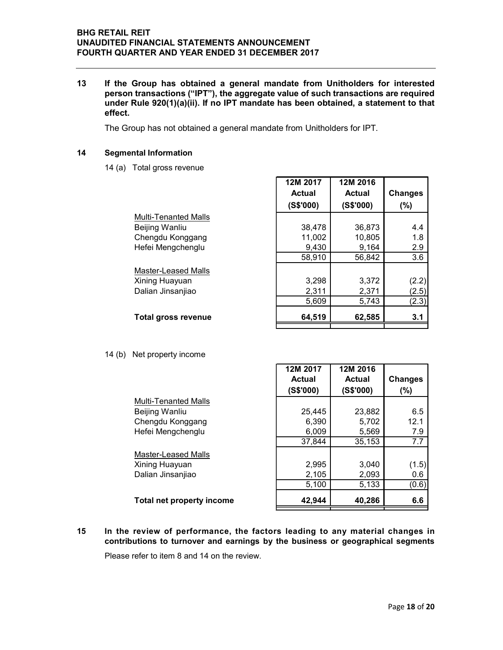13 If the Group has obtained a general mandate from Unitholders for interested person transactions ("IPT"), the aggregate value of such transactions are required under Rule 920(1)(a)(ii). If no IPT mandate has been obtained, a statement to that effect. MENT<br>
Iate from Unitholders for interested<br>
Ilue of such transactions are required<br>
is been obtained, a statement to that<br>
from Unitholders for IPT.<br>
12M 2017 12M 2016<br>
Actual Actual Changes<br>
(S\$'000) (S\$'000) (%)<br>
38,478

The Group has not obtained a general mandate from Unitholders for IPT.

#### 14 Segmental Information

14 (a) Total gross revenue

| <b>REIT</b><br><b>INANCIAL STATEMENTS ANNOUNCEMENT</b><br><b>RTER AND YEAR ENDED 31 DECEMBER 2017</b>                                                                                                                               |                 |                 |                |
|-------------------------------------------------------------------------------------------------------------------------------------------------------------------------------------------------------------------------------------|-----------------|-----------------|----------------|
| Group has obtained a general mandate from Unitholders for interested<br>transactions ("IPT"), the aggregate value of such transactions are required<br>Rule 920(1)(a)(ii). If no IPT mandate has been obtained, a statement to that |                 |                 |                |
| up has not obtained a general mandate from Unitholders for IPT.                                                                                                                                                                     |                 |                 |                |
| <b>Ital Information</b>                                                                                                                                                                                                             |                 |                 |                |
| Total gross revenue                                                                                                                                                                                                                 |                 |                 |                |
|                                                                                                                                                                                                                                     | 12M 2017        | 12M 2016        |                |
|                                                                                                                                                                                                                                     | <b>Actual</b>   | <b>Actual</b>   | <b>Changes</b> |
| Multi-Tenanted Malls                                                                                                                                                                                                                | (S\$'000)       | (S\$'000)       | (%)            |
| Beijing Wanliu                                                                                                                                                                                                                      | 38,478          | 36,873          | 4.4            |
| Chengdu Konggang                                                                                                                                                                                                                    | 11,002          | 10,805          | 1.8            |
| Hefei Mengchenglu                                                                                                                                                                                                                   | 9,430           | 9,164           | 2.9            |
|                                                                                                                                                                                                                                     | 58,910          | 56,842          | 3.6            |
| <b>Master-Leased Malls</b>                                                                                                                                                                                                          |                 |                 |                |
| Xining Huayuan                                                                                                                                                                                                                      | 3,298           | 3,372           | (2.2)          |
| Dalian Jinsanjiao                                                                                                                                                                                                                   | 2,311<br>5,609  | 2,371<br>5,743  | (2.5)<br>(2.3) |
| <b>Total gross revenue</b>                                                                                                                                                                                                          | 64,519          | 62,585          | 3.1            |
|                                                                                                                                                                                                                                     |                 |                 |                |
|                                                                                                                                                                                                                                     |                 |                 |                |
| <b>Net property income</b>                                                                                                                                                                                                          |                 |                 |                |
|                                                                                                                                                                                                                                     | 12M 2017        | 12M 2016        |                |
|                                                                                                                                                                                                                                     | <b>Actual</b>   | <b>Actual</b>   | <b>Changes</b> |
|                                                                                                                                                                                                                                     | (S\$'000)       | (S\$'000)       | (%)            |
| <b>Multi-Tenanted Malls</b>                                                                                                                                                                                                         |                 |                 |                |
| Beijing Wanliu<br>Chengdu Konggang                                                                                                                                                                                                  | 25,445<br>6,390 | 23,882<br>5,702 | 6.5<br>12.1    |
| Hefei Mengchenglu                                                                                                                                                                                                                   | 6,009           | 5,569           | 7.9            |
|                                                                                                                                                                                                                                     | 37,844          | 35,153          | 7.7            |
| Master-Leased Malls                                                                                                                                                                                                                 |                 |                 |                |
| Xining Huayuan                                                                                                                                                                                                                      | 2,995           | 3,040           | (1.5)          |
| Dalian Jinsanjiao                                                                                                                                                                                                                   | 2,105           | 2,093           | 0.6            |
|                                                                                                                                                                                                                                     | 5,100           | 5133            | (n a)          |

#### 14 (b) Net property income

|                             | $\sim$ , $\sim$ $\sim$ | -, . - .      |                  |
|-----------------------------|------------------------|---------------|------------------|
|                             | 58,910                 | 56,842        | $\overline{3.6}$ |
| <b>Master-Leased Malls</b>  |                        |               |                  |
| Xining Huayuan              | 3,298                  | 3,372         | (2.2)            |
| Dalian Jinsanjiao           | 2,311                  | 2,371         | (2.5)            |
|                             | 5,609                  | 5,743         | (2.3)            |
| <b>Total gross revenue</b>  | 64,519                 | 62,585        | 3.1              |
|                             |                        |               |                  |
|                             |                        |               |                  |
| <b>Net property income</b>  |                        |               |                  |
|                             | 12M 2017               | 12M 2016      |                  |
|                             | <b>Actual</b>          | <b>Actual</b> | <b>Changes</b>   |
|                             | (S\$'000)              | (S\$'000)     | $(\%)$           |
| <b>Multi-Tenanted Malls</b> |                        |               |                  |
| Beijing Wanliu              | 25,445                 | 23,882        | 6.5              |
| Chengdu Konggang            | 6,390                  | 5,702         | 12.1             |
| Hefei Mengchenglu           | 6,009                  | 5,569         | 7.9              |
|                             | 37,844                 | 35,153        | 7.7              |
| Master-Leased Malls         |                        |               |                  |
| Xining Huayuan              | 2,995                  | 3,040         | (1.5)            |
| Dalian Jinsanjiao           | 2,105                  | 2,093         | 0.6              |
|                             | 5,100                  | 5,133         | (0.6)            |
|                             |                        |               |                  |

15 In the review of performance, the factors leading to any material changes in contributions to turnover and earnings by the business or geographical segments

Please refer to item 8 and 14 on the review.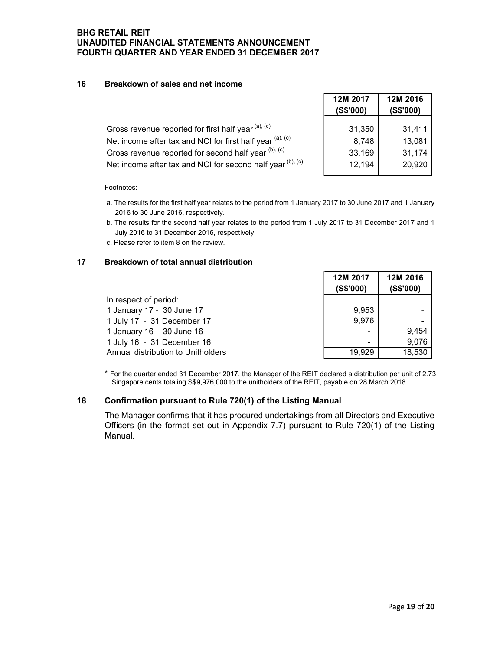### 16 Breakdown of sales and net income

| <b>ETAIL REIT</b>                                                                                                                               |                |           |
|-------------------------------------------------------------------------------------------------------------------------------------------------|----------------|-----------|
| <b>ITED FINANCIAL STATEMENTS ANNOUNCEMENT</b>                                                                                                   |                |           |
| <b>H QUARTER AND YEAR ENDED 31 DECEMBER 2017</b>                                                                                                |                |           |
|                                                                                                                                                 |                |           |
| Breakdown of sales and net income                                                                                                               |                |           |
|                                                                                                                                                 | 12M 2017       | 12M 2016  |
|                                                                                                                                                 | (S\$'000)      | (S\$'000) |
|                                                                                                                                                 |                |           |
| Gross revenue reported for first half year (a), (c)                                                                                             | 31,350         | 31,411    |
| Net income after tax and NCI for first half year $^{\text{(a), (c)}}$                                                                           | 8,748          | 13,081    |
| Gross revenue reported for second half year $^{\text{(b), (c)}}$                                                                                | 33,169         | 31,174    |
| Net income after tax and NCI for second half year $^{\text{(b), (c)}}$                                                                          | 12,194         | 20,920    |
| ootnotes:                                                                                                                                       |                |           |
|                                                                                                                                                 |                |           |
| a. The results for the first half year relates to the period from 1 January 2017 to 30 June 2017 and 1 January                                  |                |           |
| 2016 to 30 June 2016, respectively.<br>b. The results for the second half year relates to the period from 1 July 2017 to 31 December 2017 and 1 |                |           |
| July 2016 to 31 December 2016, respectively.                                                                                                    |                |           |
| c. Please refer to item 8 on the review.                                                                                                        |                |           |
| Breakdown of total annual distribution                                                                                                          |                |           |
|                                                                                                                                                 |                |           |
|                                                                                                                                                 | 12M 2017       | 12M 2016  |
|                                                                                                                                                 | (S\$'000)      | (S\$'000) |
| In respect of period:                                                                                                                           |                |           |
| 1 January 17 - 30 June 17                                                                                                                       | 9,953<br>9,976 |           |
| 1 July 17 - 31 December 17<br>1 January 16 - 30 June 16                                                                                         |                | 9,454     |
| $\frac{4 \text{ h}}{4}$                                                                                                                         |                | 0.076     |

#### Footnotes:

- a. The results for the first half year relates to the period from 1 January 2017 to 30 June 2017 and 1 January 2016 to 30 June 2016, respectively.
- b. The results for the second half year relates to the period from 1 July 2017 to 31 December 2017 and 1 July 2016 to 31 December 2016, respectively.
- c. Please refer to item 8 on the review.

### 17 Breakdown of total annual distribution

| Net income after tax and NCI for first half year $(4)$ , $(6)$                                                                                                                                              | 8,748     | 13,081    |
|-------------------------------------------------------------------------------------------------------------------------------------------------------------------------------------------------------------|-----------|-----------|
| Gross revenue reported for second half year (b), (c)                                                                                                                                                        | 33,169    | 31,174    |
| Net income after tax and NCI for second half year (b), (c)                                                                                                                                                  | 12,194    | 20,920    |
| Footnotes:                                                                                                                                                                                                  |           |           |
| a. The results for the first half year relates to the period from 1 January 2017 to 30 June 2017 and 1 January<br>2016 to 30 June 2016, respectively.                                                       |           |           |
| b. The results for the second half year relates to the period from 1 July 2017 to 31 December 2017 and 1<br>July 2016 to 31 December 2016, respectively.                                                    |           |           |
| c. Please refer to item 8 on the review.                                                                                                                                                                    |           |           |
| Breakdown of total annual distribution                                                                                                                                                                      |           |           |
|                                                                                                                                                                                                             | 12M 2017  | 12M 2016  |
|                                                                                                                                                                                                             | (S\$'000) | (S\$'000) |
| In respect of period:                                                                                                                                                                                       |           |           |
| 1 January 17 - 30 June 17                                                                                                                                                                                   | 9,953     |           |
| 1 July 17 - 31 December 17                                                                                                                                                                                  | 9,976     |           |
| 1 January 16 - 30 June 16                                                                                                                                                                                   |           | 9,454     |
| 1 July 16 - 31 December 16                                                                                                                                                                                  |           | 9,076     |
| Annual distribution to Unitholders                                                                                                                                                                          | 19,929    | 18,530    |
|                                                                                                                                                                                                             |           |           |
| For the quarter ended 31 December 2017, the Manager of the REIT declared a distribution per unit of 2.73<br>Singapore cents totaling S\$9,976,000 to the unitholders of the REIT, payable on 28 March 2018. |           |           |
| Confirmation pursuant to Rule 720(1) of the Listing Manual                                                                                                                                                  |           |           |

### 18 Confirmation pursuant to Rule 720(1) of the Listing Manual

The Manager confirms that it has procured undertakings from all Directors and Executive Officers (in the format set out in Appendix 7.7) pursuant to Rule 720(1) of the Listing Manual.